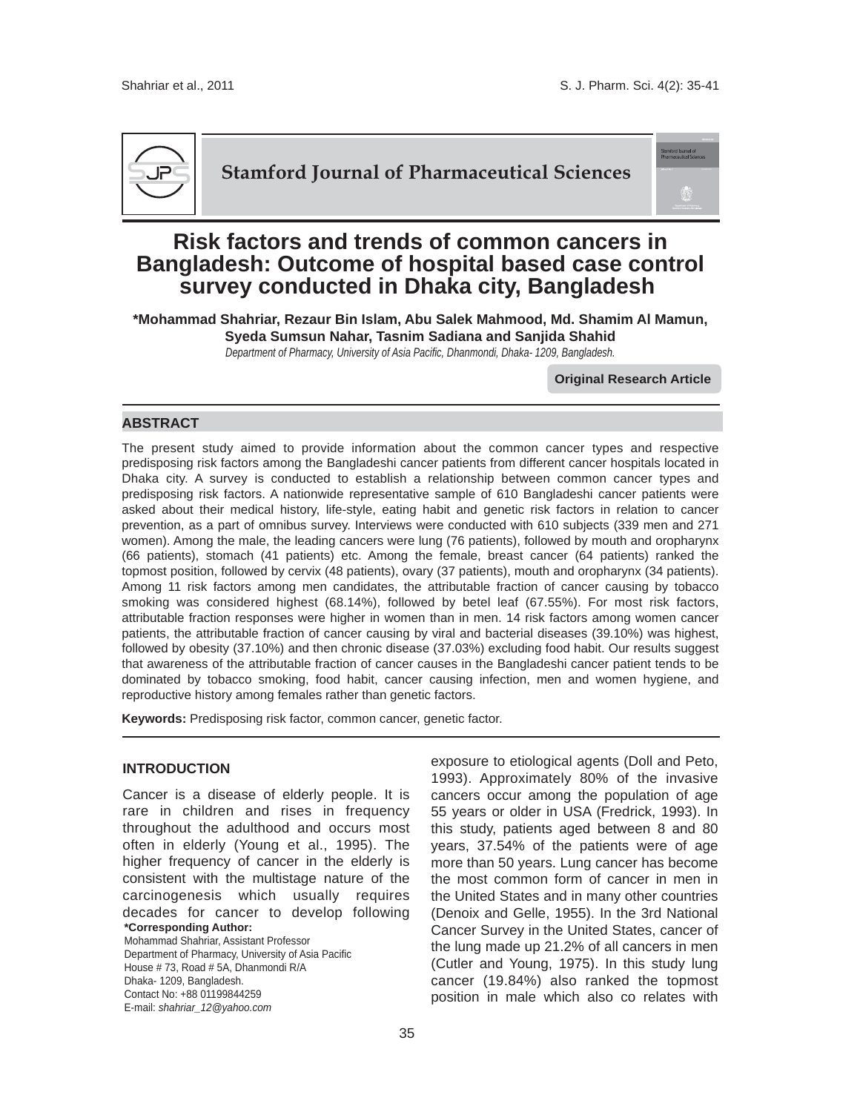

**Stamford Journal of Pharmaceutical Sciences**



# **Risk factors and trends of common cancers in Bangladesh: Outcome of hospital based case control survey conducted in Dhaka city, Bangladesh**

**\*Mohammad Shahriar, Rezaur Bin Islam, Abu Salek Mahmood, Md. Shamim Al Mamun, Syeda Sumsun Nahar, Tasnim Sadiana and Sanjida Shahid**

*Department of Pharmacy, University of Asia Pacific, Dhanmondi, Dhaka- 1209, Bangladesh.*

**Original Research Article**

# **ABSTRACT**

The present study aimed to provide information about the common cancer types and respective predisposing risk factors among the Bangladeshi cancer patients from different cancer hospitals located in Dhaka city. A survey is conducted to establish a relationship between common cancer types and predisposing risk factors. A nationwide representative sample of 610 Bangladeshi cancer patients were asked about their medical history, life-style, eating habit and genetic risk factors in relation to cancer prevention, as a part of omnibus survey. Interviews were conducted with 610 subjects (339 men and 271 women). Among the male, the leading cancers were lung (76 patients), followed by mouth and oropharynx (66 patients), stomach (41 patients) etc. Among the female, breast cancer (64 patients) ranked the topmost position, followed by cervix (48 patients), ovary (37 patients), mouth and oropharynx (34 patients). Among 11 risk factors among men candidates, the attributable fraction of cancer causing by tobacco smoking was considered highest (68.14%), followed by betel leaf (67.55%). For most risk factors, attributable fraction responses were higher in women than in men. 14 risk factors among women cancer patients, the attributable fraction of cancer causing by viral and bacterial diseases (39.10%) was highest, followed by obesity (37.10%) and then chronic disease (37.03%) excluding food habit. Our results suggest that awareness of the attributable fraction of cancer causes in the Bangladeshi cancer patient tends to be dominated by tobacco smoking, food habit, cancer causing infection, men and women hygiene, and reproductive history among females rather than genetic factors.

**Keywords:** Predisposing risk factor, common cancer, genetic factor.

# **INTRODUCTION**

**\*Corresponding Author:**  Mohammad Shahriar, Assistant Professor Cancer is a disease of elderly people. It is rare in children and rises in frequency throughout the adulthood and occurs most often in elderly (Young et al., 1995). The higher frequency of cancer in the elderly is consistent with the multistage nature of the carcinogenesis which usually requires decades for cancer to develop following

Department of Pharmacy, University of Asia Pacific House # 73, Road # 5A, Dhanmondi R/A Dhaka- 1209, Bangladesh. Contact No: +88 01199844259 E-mail: *shahriar\_12@yahoo.com*

exposure to etiological agents (Doll and Peto, 1993). Approximately 80% of the invasive cancers occur among the population of age 55 years or older in USA (Fredrick, 1993). In this study, patients aged between 8 and 80 years, 37.54% of the patients were of age more than 50 years. Lung cancer has become the most common form of cancer in men in the United States and in many other countries (Denoix and Gelle, 1955). In the 3rd National Cancer Survey in the United States, cancer of the lung made up 21.2% of all cancers in men (Cutler and Young, 1975). In this study lung cancer (19.84%) also ranked the topmost position in male which also co relates with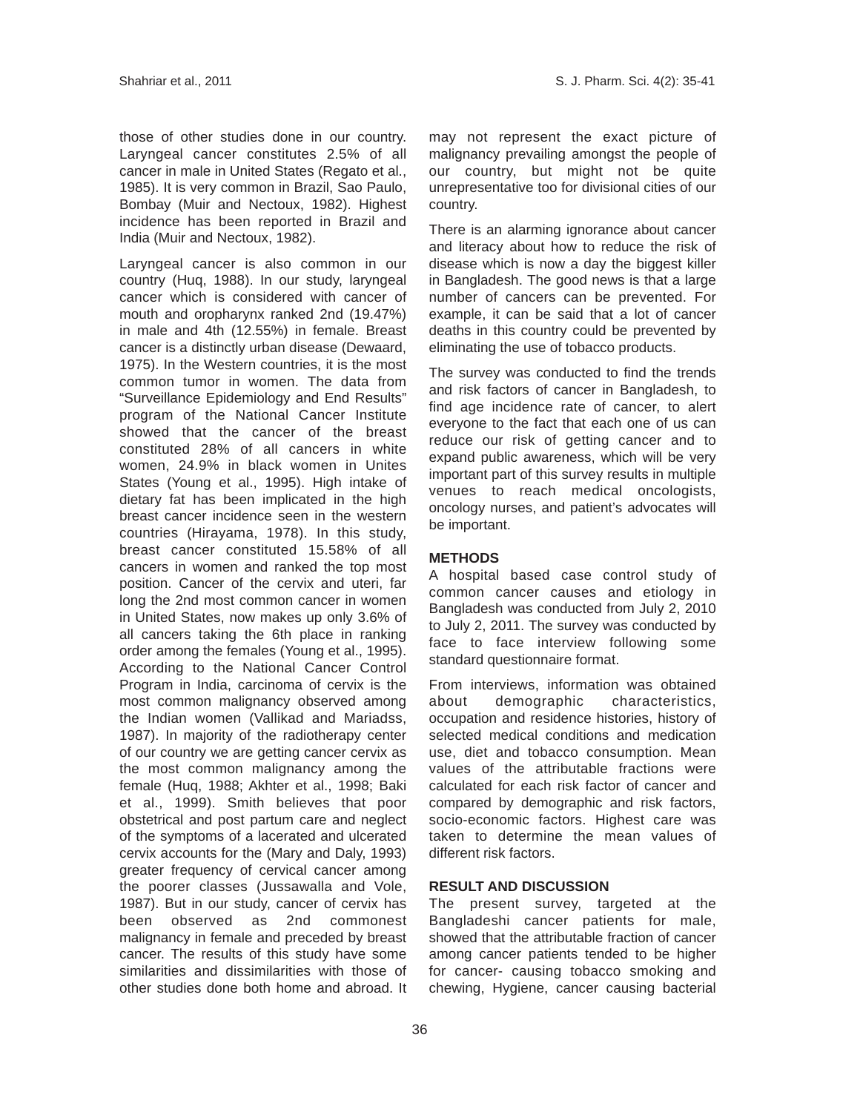those of other studies done in our country. Laryngeal cancer constitutes 2.5% of all cancer in male in United States (Regato et al., 1985). It is very common in Brazil, Sao Paulo, Bombay (Muir and Nectoux, 1982). Highest incidence has been reported in Brazil and India (Muir and Nectoux, 1982).

Laryngeal cancer is also common in our country (Huq, 1988). In our study, laryngeal cancer which is considered with cancer of mouth and oropharynx ranked 2nd (19.47%) in male and 4th (12.55%) in female. Breast cancer is a distinctly urban disease (Dewaard, 1975). In the Western countries, it is the most common tumor in women. The data from "Surveillance Epidemiology and End Results" program of the National Cancer Institute showed that the cancer of the breast constituted 28% of all cancers in white women, 24.9% in black women in Unites States (Young et al., 1995). High intake of dietary fat has been implicated in the high breast cancer incidence seen in the western countries (Hirayama, 1978). In this study, breast cancer constituted 15.58% of all cancers in women and ranked the top most position. Cancer of the cervix and uteri, far long the 2nd most common cancer in women in United States, now makes up only 3.6% of all cancers taking the 6th place in ranking order among the females (Young et al., 1995). According to the National Cancer Control Program in India, carcinoma of cervix is the most common malignancy observed among the Indian women (Vallikad and Mariadss, 1987). In majority of the radiotherapy center of our country we are getting cancer cervix as the most common malignancy among the female (Huq, 1988; Akhter et al., 1998; Baki et al., 1999). Smith believes that poor obstetrical and post partum care and neglect of the symptoms of a lacerated and ulcerated cervix accounts for the (Mary and Daly, 1993) greater frequency of cervical cancer among the poorer classes (Jussawalla and Vole, 1987). But in our study, cancer of cervix has been observed as 2nd commonest malignancy in female and preceded by breast cancer. The results of this study have some similarities and dissimilarities with those of other studies done both home and abroad. It

may not represent the exact picture of malignancy prevailing amongst the people of our country, but might not be quite unrepresentative too for divisional cities of our country.

There is an alarming ignorance about cancer and literacy about how to reduce the risk of disease which is now a day the biggest killer in Bangladesh. The good news is that a large number of cancers can be prevented. For example, it can be said that a lot of cancer deaths in this country could be prevented by eliminating the use of tobacco products.

The survey was conducted to find the trends and risk factors of cancer in Bangladesh, to find age incidence rate of cancer, to alert everyone to the fact that each one of us can reduce our risk of getting cancer and to expand public awareness, which will be very important part of this survey results in multiple venues to reach medical oncologists, oncology nurses, and patient's advocates will be important.

#### **METHODS**

A hospital based case control study of common cancer causes and etiology in Bangladesh was conducted from July 2, 2010 to July 2, 2011. The survey was conducted by face to face interview following some standard questionnaire format.

From interviews, information was obtained about demographic characteristics, occupation and residence histories, history of selected medical conditions and medication use, diet and tobacco consumption. Mean values of the attributable fractions were calculated for each risk factor of cancer and compared by demographic and risk factors, socio-economic factors. Highest care was taken to determine the mean values of different risk factors.

## **RESULT AND DISCUSSION**

The present survey, targeted at the Bangladeshi cancer patients for male, showed that the attributable fraction of cancer among cancer patients tended to be higher for cancer- causing tobacco smoking and chewing, Hygiene, cancer causing bacterial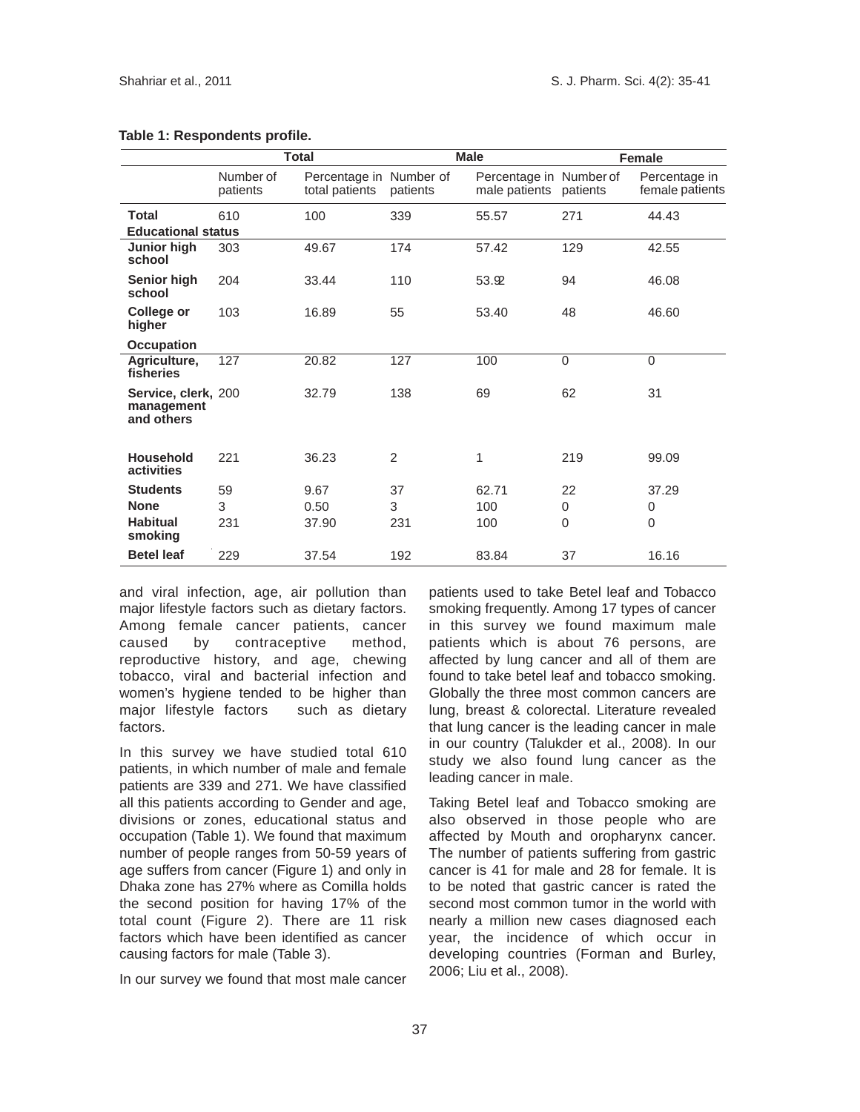|                                                 |                       | <b>Total</b>                              |          | <b>Male</b>                              |             | Female                           |
|-------------------------------------------------|-----------------------|-------------------------------------------|----------|------------------------------------------|-------------|----------------------------------|
|                                                 | Number of<br>patients | Percentage in Number of<br>total patients | patients | Percentage in Number of<br>male patients | patients    | Percentage in<br>female patients |
| <b>Total</b>                                    | 610                   | 100                                       | 339      | 55.57                                    | 271         | 44.43                            |
| <b>Educational status</b>                       |                       |                                           |          |                                          |             |                                  |
| Junior high<br>school                           | 303                   | 49.67                                     | 174      | 57.42                                    | 129         | 42.55                            |
| Senior high<br>school                           | 204                   | 33.44                                     | 110      | 53.92                                    | 94          | 46.08                            |
| College or<br>higher                            | 103                   | 16.89                                     | 55       | 53.40                                    | 48          | 46.60                            |
| <b>Occupation</b>                               |                       |                                           |          |                                          |             |                                  |
| Agriculture,<br>fisheries                       | 127                   | 20.82                                     | 127      | 100                                      | $\mathbf 0$ | $\Omega$                         |
| Service, clerk, 200<br>management<br>and others |                       | 32.79                                     | 138      | 69                                       | 62          | 31                               |
| <b>Household</b><br>activities                  | 221                   | 36.23                                     | 2        | $\mathbf{1}$                             | 219         | 99.09                            |
| <b>Students</b>                                 | 59                    | 9.67                                      | 37       | 62.71                                    | 22          | 37.29                            |
| <b>None</b>                                     | 3                     | 0.50                                      | 3        | 100                                      | 0           | 0                                |
| <b>Habitual</b><br>smoking                      | 231                   | 37.90                                     | 231      | 100                                      | $\Omega$    | $\Omega$                         |
| <b>Betel leaf</b>                               | 229                   | 37.54                                     | 192      | 83.84                                    | 37          | 16.16                            |

#### **Table 1: Respondents profile.**

and viral infection, age, air pollution than major lifestyle factors such as dietary factors. Among female cancer patients, cancer caused by contraceptive method, reproductive history, and age, chewing tobacco, viral and bacterial infection and women's hygiene tended to be higher than major lifestyle factors such as dietary factors.

In this survey we have studied total 610 patients, in which number of male and female patients are 339 and 271. We have classified all this patients according to Gender and age, divisions or zones, educational status and occupation (Table 1). We found that maximum number of people ranges from 50-59 years of age suffers from cancer (Figure 1) and only in Dhaka zone has 27% where as Comilla holds the second position for having 17% of the total count (Figure 2). There are 11 risk factors which have been identified as cancer causing factors for male (Table 3).

In our survey we found that most male cancer

patients used to take Betel leaf and Tobacco smoking frequently. Among 17 types of cancer in this survey we found maximum male patients which is about 76 persons, are affected by lung cancer and all of them are found to take betel leaf and tobacco smoking. Globally the three most common cancers are lung, breast & colorectal. Literature revealed that lung cancer is the leading cancer in male in our country (Talukder et al., 2008). In our study we also found lung cancer as the leading cancer in male.

Taking Betel leaf and Tobacco smoking are also observed in those people who are affected by Mouth and oropharynx cancer. The number of patients suffering from gastric cancer is 41 for male and 28 for female. It is to be noted that gastric cancer is rated the second most common tumor in the world with nearly a million new cases diagnosed each year, the incidence of which occur in developing countries (Forman and Burley, 2006; Liu et al., 2008).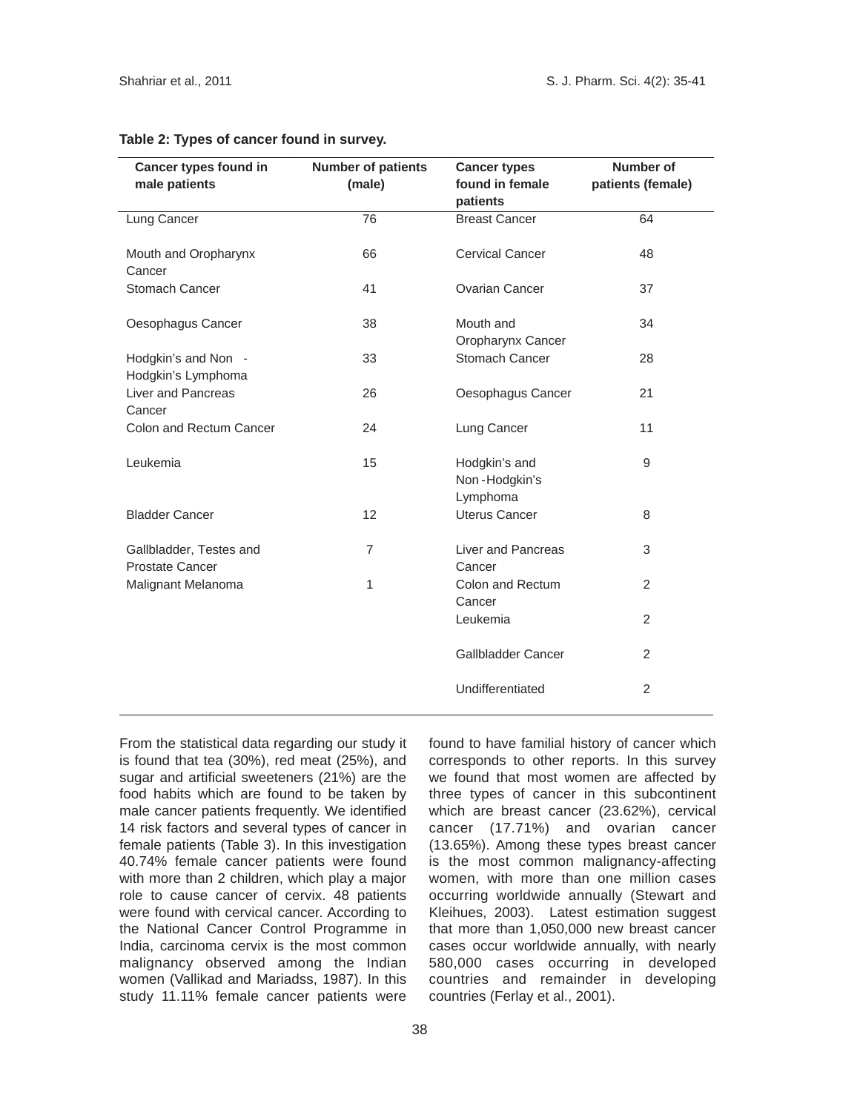| <b>Cancer types found in</b>               | <b>Number of patients</b> | <b>Cancer types</b>                        | <b>Number of</b>  |
|--------------------------------------------|---------------------------|--------------------------------------------|-------------------|
| male patients                              | (male)                    | found in female<br>patients                | patients (female) |
| Lung Cancer                                | 76                        | <b>Breast Cancer</b>                       | 64                |
| Mouth and Oropharynx<br>Cancer             | 66                        | <b>Cervical Cancer</b>                     | 48                |
| <b>Stomach Cancer</b>                      | 41                        | <b>Ovarian Cancer</b>                      | 37                |
| Oesophagus Cancer                          | 38                        | Mouth and<br>Oropharynx Cancer             | 34                |
| Hodgkin's and Non -<br>Hodgkin's Lymphoma  | 33                        | Stomach Cancer                             | 28                |
| Liver and Pancreas<br>Cancer               | 26                        | Oesophagus Cancer                          | 21                |
| <b>Colon and Rectum Cancer</b>             | 24                        | Lung Cancer                                | 11                |
| Leukemia                                   | 15                        | Hodgkin's and<br>Non-Hodgkin's<br>Lymphoma | 9                 |
| <b>Bladder Cancer</b>                      | 12 <sup>2</sup>           | <b>Uterus Cancer</b>                       | 8                 |
| Gallbladder, Testes and<br>Prostate Cancer | $\overline{7}$            | Liver and Pancreas<br>Cancer               | 3                 |
| Malignant Melanoma                         | 1                         | Colon and Rectum<br>Cancer                 | $\overline{2}$    |
|                                            |                           | Leukemia                                   | $\overline{2}$    |
|                                            |                           | Gallbladder Cancer                         | 2                 |
|                                            |                           | Undifferentiated                           | $\overline{2}$    |

#### **Table 2: Types of cancer found in survey.**

From the statistical data regarding our study it is found that tea (30%), red meat (25%), and sugar and artificial sweeteners (21%) are the food habits which are found to be taken by male cancer patients frequently. We identified 14 risk factors and several types of cancer in female patients (Table 3). In this investigation 40.74% female cancer patients were found with more than 2 children, which play a major role to cause cancer of cervix. 48 patients were found with cervical cancer. According to the National Cancer Control Programme in India, carcinoma cervix is the most common malignancy observed among the Indian women (Vallikad and Mariadss, 1987). In this study 11.11% female cancer patients were

found to have familial history of cancer which corresponds to other reports. In this survey we found that most women are affected by three types of cancer in this subcontinent which are breast cancer (23.62%), cervical cancer (17.71%) and ovarian cancer (13.65%). Among these types breast cancer is the most common malignancy-affecting women, with more than one million cases occurring worldwide annually (Stewart and Kleihues, 2003). Latest estimation suggest that more than 1,050,000 new breast cancer cases occur worldwide annually, with nearly 580,000 cases occurring in developed countries and remainder in developing countries (Ferlay et al., 2001).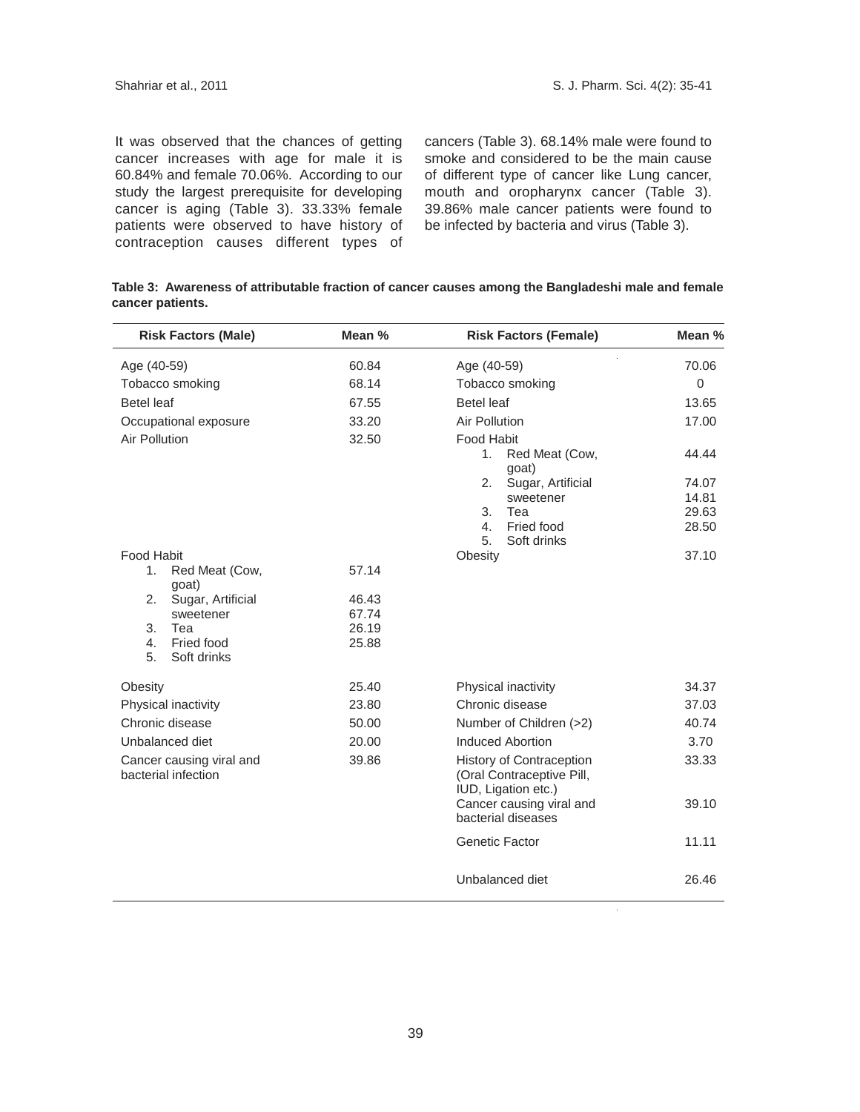It was observed that the chances of getting cancer increases with age for male it is 60.84% and female 70.06%. According to our study the largest prerequisite for developing cancer is aging (Table 3). 33.33% female patients were observed to have history of contraception causes different types of

cancers (Table 3). 68.14% male were found to smoke and considered to be the main cause of different type of cancer like Lung cancer, mouth and oropharynx cancer (Table 3). 39.86% male cancer patients were found to be infected by bacteria and virus (Table 3).

|                  | Table 3: Awareness of attributable fraction of cancer causes among the Bangladeshi male and female |  |  |  |
|------------------|----------------------------------------------------------------------------------------------------|--|--|--|
| cancer patients. |                                                                                                    |  |  |  |

| <b>Risk Factors (Male)</b>                      | Mean % | <b>Risk Factors (Female)</b>                                                 | Mean %   |
|-------------------------------------------------|--------|------------------------------------------------------------------------------|----------|
| Age (40-59)                                     | 60.84  | Age (40-59)                                                                  | 70.06    |
| Tobacco smoking                                 | 68.14  | Tobacco smoking                                                              | $\Omega$ |
| <b>Betel leaf</b>                               | 67.55  | <b>Betel leaf</b>                                                            | 13.65    |
| Occupational exposure                           | 33.20  | Air Pollution                                                                | 17.00    |
| Air Pollution                                   | 32.50  | Food Habit                                                                   |          |
|                                                 |        | Red Meat (Cow,<br>1.<br>goat)                                                | 44.44    |
|                                                 |        | Sugar, Artificial<br>2.                                                      | 74.07    |
|                                                 |        | sweetener                                                                    | 14.81    |
|                                                 |        | 3.<br>Tea                                                                    | 29.63    |
|                                                 |        | Fried food<br>4.<br>5.<br>Soft drinks                                        | 28.50    |
| Food Habit                                      |        | Obesity                                                                      | 37.10    |
| 1.<br>Red Meat (Cow,                            | 57.14  |                                                                              |          |
| goat)                                           |        |                                                                              |          |
| Sugar, Artificial<br>2.                         | 46.43  |                                                                              |          |
| sweetener                                       | 67.74  |                                                                              |          |
| 3.<br>Tea                                       | 26.19  |                                                                              |          |
| Fried food<br>4.<br>Soft drinks<br>5.           | 25.88  |                                                                              |          |
| Obesity                                         | 25.40  | Physical inactivity                                                          | 34.37    |
| Physical inactivity                             | 23.80  | Chronic disease                                                              | 37.03    |
| Chronic disease                                 | 50.00  | Number of Children (>2)                                                      | 40.74    |
| Unbalanced diet                                 | 20.00  | <b>Induced Abortion</b>                                                      | 3.70     |
| Cancer causing viral and<br>bacterial infection | 39.86  | History of Contraception<br>(Oral Contraceptive Pill,<br>IUD, Ligation etc.) | 33.33    |
|                                                 |        | Cancer causing viral and<br>bacterial diseases                               | 39.10    |
|                                                 |        | <b>Genetic Factor</b>                                                        | 11.11    |
|                                                 |        | Unbalanced diet                                                              | 26.46    |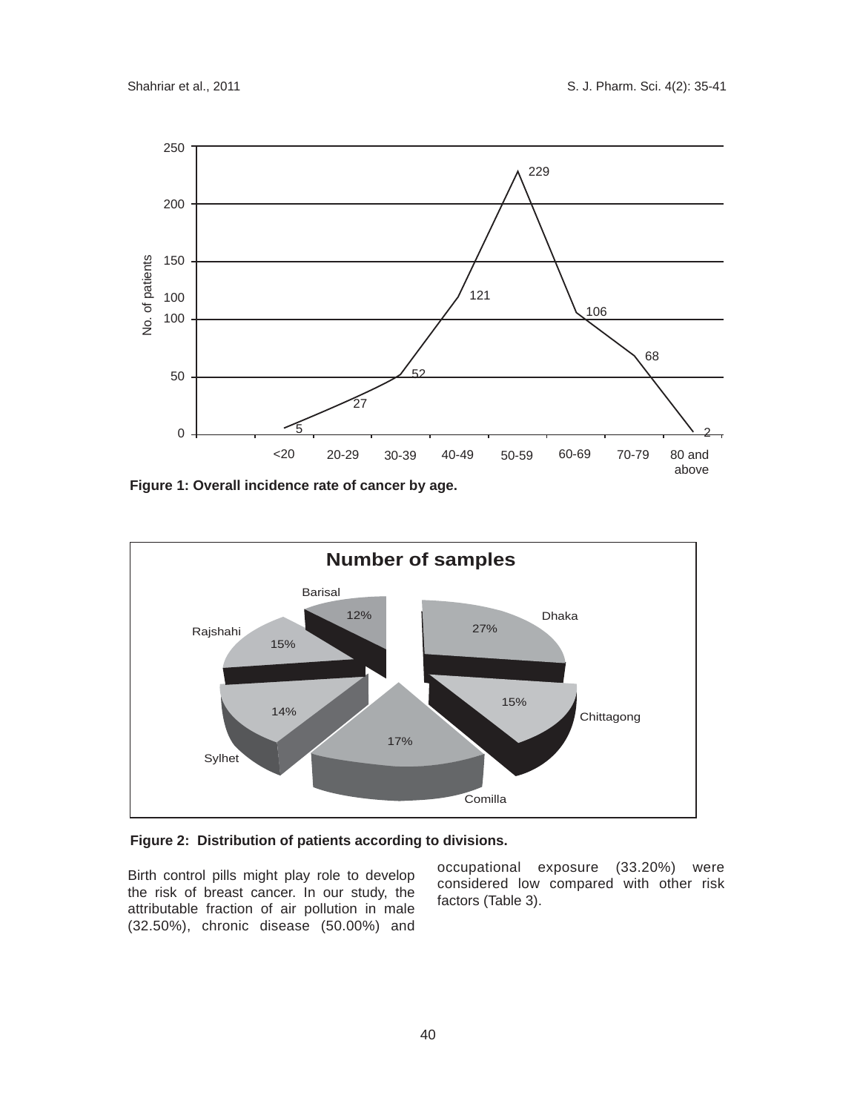

**Figure 1: Overall incidence rate of cancer by age.**



# **Figure 2: Distribution of patients according to divisions.**

Birth control pills might play role to develop the risk of breast cancer. In our study, the attributable fraction of air pollution in male (32.50%), chronic disease (50.00%) and

occupational exposure (33.20%) were considered low compared with other risk factors (Table 3).